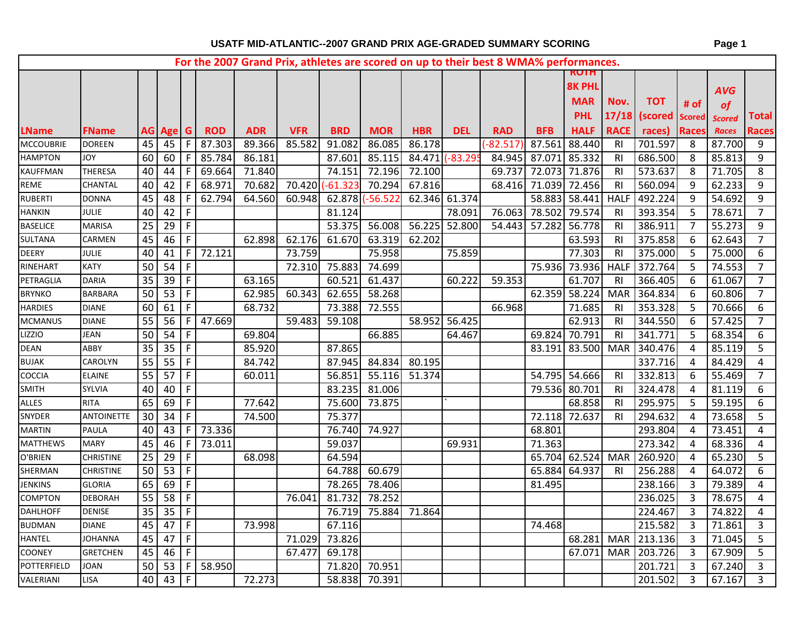|                  |                   |                 |          |                |            |            |            |                 |                 |                |            | For the 2007 Grand Prix, athletes are scored on up to their best 8 WMA% performances. |                      |               |                |                    |                |               |                |
|------------------|-------------------|-----------------|----------|----------------|------------|------------|------------|-----------------|-----------------|----------------|------------|---------------------------------------------------------------------------------------|----------------------|---------------|----------------|--------------------|----------------|---------------|----------------|
|                  |                   |                 |          |                |            |            |            |                 |                 |                |            |                                                                                       |                      | <b>RUIH</b>   |                |                    |                |               |                |
|                  |                   |                 |          |                |            |            |            |                 |                 |                |            |                                                                                       |                      | <b>8K PHL</b> |                |                    |                | <b>AVG</b>    |                |
|                  |                   |                 |          |                |            |            |            |                 |                 |                |            |                                                                                       |                      | <b>MAR</b>    | Nov.           | <b>TOT</b>         | # of           | of            |                |
|                  |                   |                 |          |                |            |            |            |                 |                 |                |            |                                                                                       |                      | <b>PHL</b>    |                | 17/18 (scored      | <b>Scored</b>  | <b>Scored</b> | Total          |
| <b>LName</b>     | <b>FName</b>      |                 | AG Age G |                | <b>ROD</b> | <b>ADR</b> | <b>VFR</b> | <b>BRD</b>      | <b>MOR</b>      | <b>HBR</b>     | <b>DEL</b> | <b>RAD</b>                                                                            | <b>BFB</b>           | <b>HALF</b>   | <b>RACE</b>    | races)             | <b>Races</b>   | <b>Races</b>  | <b>Races</b>   |
| <b>MCCOUBRIE</b> | <b>DOREEN</b>     | 45              | 45       | F              | 87.303     | 89.366     | 85.582     | 91.082          | 86.085          | 86.178         |            | $-82.517$                                                                             | 87.561 88.440        |               | R <sub>1</sub> | 701.597            | 8              | 87.700        | 9              |
| <b>HAMPTON</b>   | <b>JOY</b>        | 60              | 60       | F.             | 85.784     | 86.181     |            | 87.601          | 85.115          | 84.471 (-83.29 |            |                                                                                       | 84.945 87.071 85.332 |               | <b>RI</b>      | 686.500            | 8              | 85.813        | 9              |
| KAUFFMAN         | THERESA           | 40              | 44       | -F             | 69.664     | 71.840     |            | 74.151          | 72.196          | 72.100         |            | 69.737                                                                                | 72.073 71.876        |               | <b>RI</b>      | 573.637            | 8              | 71.705        | 8              |
| REME             | CHANTAL           | 40              | 42       | -F             | 68.971     | 70.682     |            | 70.420 (-61.323 | 70.294          | 67.816         |            |                                                                                       | 68.416 71.039 72.456 |               | <b>RI</b>      | 560.094            | 9              | 62.233        | 9              |
| RUBERTI          | <b>DONNA</b>      | 45              | 48       | -F             | 62.794     | 64.560     | 60.948     |                 | 62.878 (-56.522 | 62.346 61.374  |            |                                                                                       |                      | 58.883 58.441 | <b>HALF</b>    | 492.224            | 9              | 54.692        | 9              |
| HANKIN           | JULIE             | 40              | 42       | -F             |            |            |            | 81.124          |                 |                | 78.091     | 76.063                                                                                | 78.502               | 79.574        | <b>RI</b>      | 393.354            | 5              | 78.671        | $\overline{7}$ |
| <b>BASELICE</b>  | <b>MARISA</b>     | 25              | 29       | $\mathsf F$    |            |            |            | 53.375          | 56.008          | 56.225 52.800  |            |                                                                                       | 54.443 57.282        | 56.778        | <b>RI</b>      | 386.911            | $\overline{7}$ | 55.273        | 9              |
| SULTANA          | CARMEN            | 45              | 46       | $\mathsf F$    |            | 62.898     | 62.176     | 61.670          | 63.319          | 62.202         |            |                                                                                       |                      | 63.593        | <b>RI</b>      | 375.858            | 6              | 62.643        | $\overline{7}$ |
| <b>DEERY</b>     | <b>JULIE</b>      | 40              | 41       | $\mathsf{F}$   | 72.121     |            | 73.759     |                 | 75.958          |                | 75.859     |                                                                                       |                      | 77.303        | <b>RI</b>      | 375.000            | 5              | 75.000        | 6              |
| RINEHART         | <b>KATY</b>       | 50              | 54       | $\mathsf{F}$   |            |            | 72.310     | 75.883          | 74.699          |                |            |                                                                                       |                      | 75.936 73.936 | <b>HALF</b>    | 372.764            | 5              | 74.553        | $\overline{7}$ |
| PETRAGLIA        | <b>DARIA</b>      | 35              | 39       | F.             |            | 63.165     |            | 60.521          | 61.437          |                | 60.222     | 59.353                                                                                |                      | 61.707        | RI.            | 366.405            | 6              | 61.067        | $\overline{7}$ |
| <b>BRYNKO</b>    | <b>BARBARA</b>    | 50              | 53       | F              |            | 62.985     | 60.343     | 62.655          | 58.268          |                |            |                                                                                       | 62.359               | 58.224        | <b>MAR</b>     | 364.834            | 6              | 60.806        | $\overline{7}$ |
| <b>HARDIES</b>   | <b>DIANE</b>      | 60              | 61       | $\mathsf{F}$   |            | 68.732     |            | 73.388          | 72.555          |                |            | 66.968                                                                                |                      | 71.685        | RI.            | 353.328            | 5              | 70.666        | 6              |
| <b>MCMANUS</b>   | <b>DIANE</b>      | 55              | 56       | F.             | 47.669     |            | 59.483     | 59.108          |                 | 58.952 56.425  |            |                                                                                       |                      | 62.913        | RI.            | 344.550            | 6              | 57.425        | $\overline{7}$ |
| <b>LIZZIO</b>    | <b>JEAN</b>       | 50              | 54       | -F             |            | 69.804     |            |                 | 66.885          |                | 64.467     |                                                                                       | 69.824 70.791        |               | RI.            | 341.771            | 5              | 68.354        | 6              |
| DEAN             | ABBY              | 35              | 35       | $\mathsf F$    |            | 85.920     |            | 87.865          |                 |                |            |                                                                                       |                      | 83.191 83.500 | <b>MAR</b>     | 340.476            | 4              | 85.119        | 5              |
| <b>BUJAK</b>     | CAROLYN           | $\overline{55}$ | 55       | $\mathsf F$    |            | 84.742     |            | 87.945          | 84.834          | 80.195         |            |                                                                                       |                      |               |                | 337.716            | 4              | 84.429        | 4              |
| COCCIA           | <b>ELAINE</b>     | 55              | 57       | $\mathsf{F}$   |            | 60.011     |            | 56.851          | 55.116          | 51.374         |            |                                                                                       |                      | 54.795 54.666 | <b>RI</b>      | 332.813            | 6              | 55.469        | $\overline{7}$ |
| SMITH            | <b>SYLVIA</b>     | 40              | 40       | $\mathsf F$    |            |            |            | 83.235          | 81.006          |                |            |                                                                                       | 79.536 80.701        |               | RI.            | 324.478            | 4              | 81.119        | 6              |
| ALLES            | <b>RITA</b>       | 65              | 69       | $\mathsf F$    |            | 77.642     |            | 75.600          | 73.875          |                |            |                                                                                       |                      | 68.858        | R <sub>l</sub> | 295.975            | 5              | 59.195        | 6              |
| SNYDER           | <b>ANTOINETTE</b> | 30              | 34       | $\mathsf{F}$   |            | 74.500     |            | 75.377          |                 |                |            |                                                                                       | 72.118 72.637        |               | RI.            | 294.632            | 4              | 73.658        | 5              |
| <b>MARTIN</b>    | <b>PAULA</b>      | 40              | 43       | $\mathsf{F}$   | 73.336     |            |            | 76.740          | 74.927          |                |            |                                                                                       | 68.801               |               |                | 293.804            | 4              | 73.451        | 4              |
| MATTHEWS         | <b>MARY</b>       | 45              | 46       | $\mathsf F$    | 73.011     |            |            | 59.037          |                 |                | 69.931     |                                                                                       | 71.363               |               |                | 273.342            | 4              | 68.336        | 4              |
| O'BRIEN          | <b>CHRISTINE</b>  | $\overline{25}$ | 29       | $\overline{+}$ |            | 68.098     |            | 64.594          |                 |                |            |                                                                                       |                      | 65.704 62.524 | <b>MAR</b>     | 260.920            | 4              | 65.230        | 5              |
| SHERMAN          | <b>CHRISTINE</b>  | 50              | 53       | $\mathsf F$    |            |            |            | 64.788          | 60.679          |                |            |                                                                                       | 65.884               | 64.937        | R <sub>l</sub> | 256.288            | 4              | 64.072        | 6              |
| JENKINS          | <b>GLORIA</b>     | 65              | 69       | $\mathsf{F}$   |            |            |            | 78.265          | 78.406          |                |            |                                                                                       | 81.495               |               |                | 238.166            | $\overline{3}$ | 79.389        | 4              |
| COMPTON          | <b>DEBORAH</b>    | 55              | 58       | $\mathsf{F}$   |            |            | 76.041     | 81.732          | 78.252          |                |            |                                                                                       |                      |               |                | 236.025            | 3              | 78.675        | 4              |
| <b>DAHLHOFF</b>  | <b>DENISE</b>     | 35              | 35       | $\mathsf{F}$   |            |            |            | 76.719          | 75.884          | 71.864         |            |                                                                                       |                      |               |                | 224.467            | 3              | 74.822        | 4              |
| <b>BUDMAN</b>    | <b>DIANE</b>      | 45              | 47       | $\mathsf{F}$   |            | 73.998     |            | 67.116          |                 |                |            |                                                                                       | 74.468               |               |                | 215.582            | 3              | 71.861        | 3              |
| HANTEL           | JOHANNA           | 45              | 47       | $\mathsf F$    |            |            | 71.029     | 73.826          |                 |                |            |                                                                                       |                      | 68.281        |                | MAR 213.136        | 3              | 71.045        | 5              |
| <b>COONEY</b>    | <b>GRETCHEN</b>   | 45              | 46       | F              |            |            | 67.477     | 69.178          |                 |                |            |                                                                                       |                      |               |                | 67.071 MAR 203.726 | 3              | 67.909        | 5              |

POTTERFIELD JOAN 50 53 F 58.950 71.820 70.951 201.721 3 67.240 3 VALERIANI |LISA |40|43|F| |72.273| |58.838|70.391| | | | | | | |201.502|3|67.167|3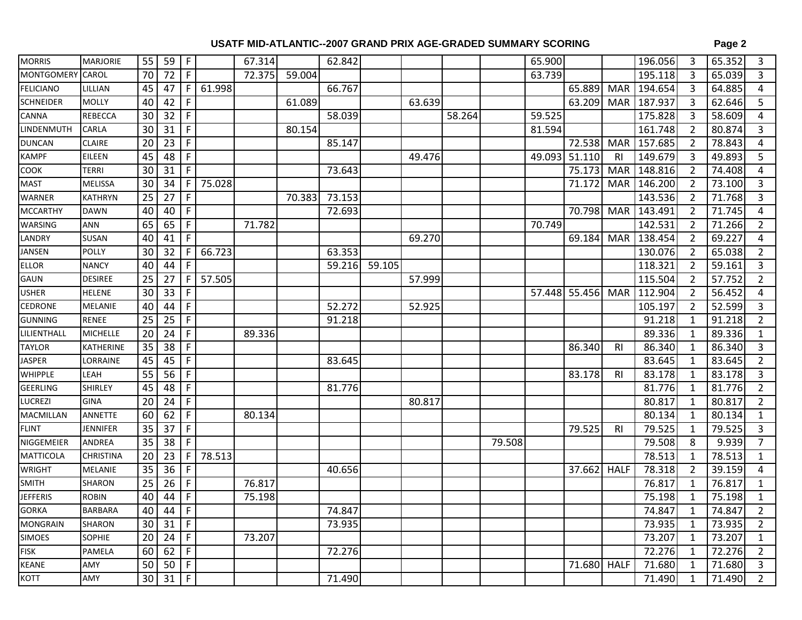|--|--|

| <b>MORRIS</b>     | <b>MARJORIE</b> | 55 | 59                  | F            |        | 67.314 |        | 62.842 |        |        |        |        | 65.900 |               |                | 196.056     | 3              | 65.352 | 3              |
|-------------------|-----------------|----|---------------------|--------------|--------|--------|--------|--------|--------|--------|--------|--------|--------|---------------|----------------|-------------|----------------|--------|----------------|
| <b>MONTGOMERY</b> | CAROL           | 70 | 72                  | F.           |        | 72.375 | 59.004 |        |        |        |        |        | 63.739 |               |                | 195.118     | 3              | 65.039 | 3              |
| <b>FELICIANO</b>  | LILLIAN         | 45 | 47                  | F            | 61.998 |        |        | 66.767 |        |        |        |        |        | 65.889        | <b>MAR</b>     | 194.654     | 3              | 64.885 | 4              |
| <b>SCHNEIDER</b>  | <b>MOLLY</b>    | 40 | 42                  | F            |        |        | 61.089 |        |        | 63.639 |        |        |        | 63.209        |                | MAR 187.937 | 3              | 62.646 | 5              |
| <b>CANNA</b>      | REBECCA         | 30 | 32                  | F            |        |        |        | 58.039 |        |        | 58.264 |        | 59.525 |               |                | 175.828     | 3              | 58.609 | 4              |
| LINDENMUTH        | CARLA           | 30 | 31                  | F            |        |        | 80.154 |        |        |        |        |        | 81.594 |               |                | 161.748     | $\overline{2}$ | 80.874 | 3              |
| <b>DUNCAN</b>     | <b>CLAIRE</b>   | 20 | 23                  | F            |        |        |        | 85.147 |        |        |        |        |        | 72.538        | <b>MAR</b>     | 157.685     | $\overline{2}$ | 78.843 | 4              |
| <b>KAMPF</b>      | EILEEN          | 45 | 48                  | F.           |        |        |        |        |        | 49.476 |        |        |        | 49.093 51.110 | R <sub>l</sub> | 149.679     | 3              | 49.893 | 5              |
| <b>COOK</b>       | <b>TERRI</b>    | 30 | 31                  | F            |        |        |        | 73.643 |        |        |        |        |        | 75.173        |                | MAR 148.816 | $\overline{2}$ | 74.408 | 4              |
| <b>MAST</b>       | MELISSA         | 30 | 34                  | F            | 75.028 |        |        |        |        |        |        |        |        | 71.172        |                | MAR 146.200 | $\overline{2}$ | 73.100 | 3              |
| WARNER            | <b>KATHRYN</b>  | 25 | 27                  | F.           |        |        | 70.383 | 73.153 |        |        |        |        |        |               |                | 143.536     | $\overline{2}$ | 71.768 | 3              |
| <b>MCCARTHY</b>   | <b>DAWN</b>     | 40 | 40                  | F.           |        |        |        | 72.693 |        |        |        |        |        | 70.798        | <b>MAR</b>     | 143.491     | $\overline{2}$ | 71.745 | 4              |
| <b>WARSING</b>    | ANN             | 65 | 65                  | F.           |        | 71.782 |        |        |        |        |        |        | 70.749 |               |                | 142.531     | $\overline{2}$ | 71.266 | $\overline{2}$ |
| LANDRY            | SUSAN           | 40 | 41                  | F.           |        |        |        |        |        | 69.270 |        |        |        | 69.184        | <b>MAR</b>     | 138.454     | $\overline{2}$ | 69.227 | 4              |
| JANSEN            | <b>POLLY</b>    | 30 | 32                  | F            | 66.723 |        |        | 63.353 |        |        |        |        |        |               |                | 130.076     | $\overline{2}$ | 65.038 | $\overline{2}$ |
| ELLOR             | <b>NANCY</b>    | 40 | 44                  | F            |        |        |        | 59.216 | 59.105 |        |        |        |        |               |                | 118.321     | $\overline{2}$ | 59.161 | 3              |
| GAUN              | <b>DESIREE</b>  | 25 | 27                  | F            | 57.505 |        |        |        |        | 57.999 |        |        |        |               |                | 115.504     | $\overline{2}$ | 57.752 | $\overline{2}$ |
| <b>USHER</b>      | <b>HELENE</b>   | 30 | 33                  | F            |        |        |        |        |        |        |        |        |        | 57.448 55.456 |                | MAR 112.904 | $\overline{2}$ | 56.452 | 4              |
| <b>CEDRONE</b>    | MELANIE         | 40 | 44                  | F.           |        |        |        | 52.272 |        | 52.925 |        |        |        |               |                | 105.197     | $\overline{2}$ | 52.599 | $\overline{3}$ |
| <b>GUNNING</b>    | <b>RENEE</b>    | 25 | 25                  | F            |        |        |        | 91.218 |        |        |        |        |        |               |                | 91.218      | -1             | 91.218 | $\overline{2}$ |
| LILIENTHALL       | <b>MICHELLE</b> | 20 | 24                  | F.           |        | 89.336 |        |        |        |        |        |        |        |               |                | 89.336      | -1             | 89.336 | $\mathbf{1}$   |
| <b>TAYLOR</b>     | KATHERINE       | 35 | 38                  | F.           |        |        |        |        |        |        |        |        |        | 86.340        | <b>RI</b>      | 86.340      |                | 86.340 | 3              |
| JASPER            | LORRAINE        | 45 | 45                  | F.           |        |        |        | 83.645 |        |        |        |        |        |               |                | 83.645      | 1              | 83.645 | $\overline{2}$ |
| <b>WHIPPLE</b>    | LEAH            | 55 | 56                  | F            |        |        |        |        |        |        |        |        |        | 83.178        | <b>RI</b>      | 83.178      |                | 83.178 | 3              |
| <b>GEERLING</b>   | <b>SHIRLEY</b>  | 45 | 48                  | F.           |        |        |        | 81.776 |        |        |        |        |        |               |                | 81.776      | 1              | 81.776 | 2              |
| LUCREZI           | <b>GINA</b>     | 20 | 24                  | F            |        |        |        |        |        | 80.817 |        |        |        |               |                | 80.817      | -1             | 80.817 | $\overline{2}$ |
| MACMILLAN         | ANNETTE         | 60 | 62                  | F.           |        | 80.134 |        |        |        |        |        |        |        |               |                | 80.134      | 1              | 80.134 | $\mathbf{1}$   |
| <b>FLINT</b>      | <b>JENNIFER</b> | 35 | 37                  | F.           |        |        |        |        |        |        |        |        |        | 79.525        | <b>RI</b>      | 79.525      | 1              | 79.525 | 3              |
| NIGGEMEIER        | ANDREA          | 35 | 38                  | F            |        |        |        |        |        |        |        | 79.508 |        |               |                | 79.508      | 8              | 9.939  | $\overline{7}$ |
| MATTICOLA         | CHRISTINA       | 20 | 23                  | F            | 78.513 |        |        |        |        |        |        |        |        |               |                | 78.513      | 1              | 78.513 | 1              |
| <b>WRIGHT</b>     | MELANIE         | 35 | 36                  | F            |        |        |        | 40.656 |        |        |        |        |        | 37.662        | <b>HALF</b>    | 78.318      | $\overline{2}$ | 39.159 | 4              |
| <b>SMITH</b>      | SHARON          | 25 | 26                  | F.           |        | 76.817 |        |        |        |        |        |        |        |               |                | 76.817      | 1              | 76.817 | 1              |
| <b>JEFFERIS</b>   | <b>ROBIN</b>    | 40 | 44                  | F.           |        | 75.198 |        |        |        |        |        |        |        |               |                | 75.198      | 1              | 75.198 | $\mathbf{1}$   |
| <b>GORKA</b>      | <b>BARBARA</b>  |    | $40$ $44$ F         |              |        |        |        | 74.847 |        |        |        |        |        |               |                | 74.847      | $\overline{1}$ | 74.847 | $\overline{2}$ |
| MONGRAIN          | SHARON          | 30 | $31$ F              |              |        |        |        | 73.935 |        |        |        |        |        |               |                | 73.935      | 1              | 73.935 | $\overline{2}$ |
| SIMOES            | SOPHIE          | 20 | 24                  | F            |        | 73.207 |        |        |        |        |        |        |        |               |                | 73.207      | $\mathbf 1$    | 73.207 | $\mathbf{1}$   |
| <b>FISK</b>       | PAMELA          | 60 | 62                  | $\mathsf{F}$ |        |        |        | 72.276 |        |        |        |        |        |               |                | 72.276      | 1              | 72.276 | $\overline{2}$ |
| <b>KEANE</b>      | AMY             | 50 | $50 \mid$           | F            |        |        |        |        |        |        |        |        |        | 71.680 HALF   |                | 71.680      | 1              | 71.680 | 3              |
| KOTT              | AMY             |    | $30 \mid 31 \mid F$ |              |        |        |        | 71.490 |        |        |        |        |        |               |                | 71.490      | 1              | 71.490 | $\overline{2}$ |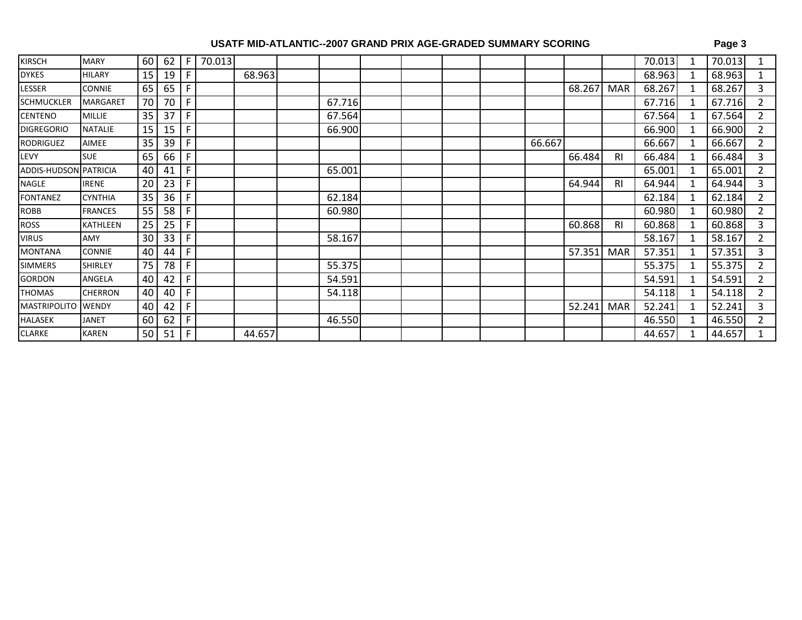| KIRSCH                | <b>MARY</b>     | 60              | 62 | -F  | 70.013 |        |        |  |  |        |        |                | 70.013 | 70.013 |                |
|-----------------------|-----------------|-----------------|----|-----|--------|--------|--------|--|--|--------|--------|----------------|--------|--------|----------------|
| <b>DYKES</b>          | <b>HILARY</b>   | 15              | 19 |     |        | 68.963 |        |  |  |        |        |                | 68.963 | 68.963 |                |
| LESSER                | <b>CONNIE</b>   | 65              | 65 |     |        |        |        |  |  |        | 68.267 | <b>MAR</b>     | 68.267 | 68.267 | 3              |
| SCHMUCKLER            | <b>MARGARET</b> | 70              | 70 | F   |        |        | 67.716 |  |  |        |        |                | 67.716 | 67.716 | $\overline{2}$ |
| CENTENO               | <b>MILLIE</b>   | 35              | 37 | F   |        |        | 67.564 |  |  |        |        |                | 67.564 | 67.564 | 2              |
| <b>DIGREGORIO</b>     | <b>NATALIE</b>  | 15              | 15 | F   |        |        | 66.900 |  |  |        |        |                | 66.900 | 66.900 | $\overline{2}$ |
| RODRIGUEZ             | <b>AIMEE</b>    | 35              | 39 |     |        |        |        |  |  | 66.667 |        |                | 66.667 | 66.667 | $\overline{2}$ |
| LEVY                  | <b>SUE</b>      | 65              | 66 | -F  |        |        |        |  |  |        | 66.484 | R <sub>l</sub> | 66.484 | 66.484 | 3              |
| ADDIS-HUDSON PATRICIA |                 | 40              | 41 | F   |        |        | 65.001 |  |  |        |        |                | 65.001 | 65.001 | 2              |
| NAGLE                 | <b>IRENE</b>    | 20              | 23 | F   |        |        |        |  |  |        | 64.944 | R <sub>1</sub> | 64.944 | 64.944 | 3              |
| <b>FONTANEZ</b>       | <b>CYNTHIA</b>  | 35              | 36 | F   |        |        | 62.184 |  |  |        |        |                | 62.184 | 62.184 | 2              |
| ROBB                  | <b>FRANCES</b>  | 55              | 58 | -F  |        |        | 60.980 |  |  |        |        |                | 60.980 | 60.980 | 2              |
| ROSS                  | <b>KATHLEEN</b> | 25              | 25 | F   |        |        |        |  |  |        | 60.868 | R <sub>1</sub> | 60.868 | 60.868 | 3              |
| VIRUS                 | AMY             | 30              | 33 | F   |        |        | 58.167 |  |  |        |        |                | 58.167 | 58.167 | 2              |
| MONTANA               | <b>CONNIE</b>   | 40              | 44 | F   |        |        |        |  |  |        | 57.351 | <b>MAR</b>     | 57.351 | 57.351 | 3              |
| SIMMERS               | <b>SHIRLEY</b>  | 75              | 78 | F   |        |        | 55.375 |  |  |        |        |                | 55.375 | 55.375 | $\mathcal{L}$  |
| GORDON                | ANGELA          | 40              | 42 | F   |        |        | 54.591 |  |  |        |        |                | 54.591 | 54.591 | $\overline{2}$ |
| THOMAS                | <b>CHERRON</b>  | 40              | 40 | F   |        |        | 54.118 |  |  |        |        |                | 54.118 | 54.118 | 2              |
| MASTRIPOLITO          | <b>WENDY</b>    | 40              | 42 | F   |        |        |        |  |  |        | 52.241 | <b>MAR</b>     | 52.241 | 52.241 | 3              |
| HALASEK               | <b>JANET</b>    | 60              | 62 | F   |        |        | 46.550 |  |  |        |        |                | 46.550 | 46.550 | 2              |
| CLARKE                | <b>KAREN</b>    | 50 <sub>1</sub> | 51 | l F |        | 44.657 |        |  |  |        |        |                | 44.657 | 44.657 |                |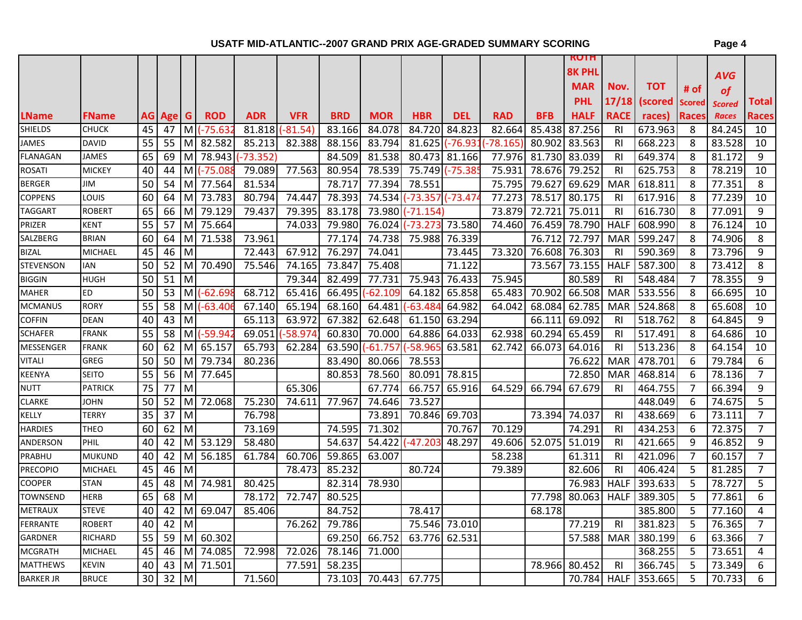|                  |                |                 |           |              |                      |            |            |            |               |                 |                 |             |            | <b>KUTH</b>   |                |             |        |               |                |
|------------------|----------------|-----------------|-----------|--------------|----------------------|------------|------------|------------|---------------|-----------------|-----------------|-------------|------------|---------------|----------------|-------------|--------|---------------|----------------|
|                  |                |                 |           |              |                      |            |            |            |               |                 |                 |             |            | <b>8K PHL</b> |                |             |        | <b>AVG</b>    |                |
|                  |                |                 |           |              |                      |            |            |            |               |                 |                 |             |            | <b>MAR</b>    | Nov.           | тот         | # of   | <b>of</b>     |                |
|                  |                |                 |           |              |                      |            |            |            |               |                 |                 |             |            | <b>PHL</b>    | 17/18          | (scored     | Scored | <b>Scored</b> | Total          |
| <b>LName</b>     | <b>FName</b>   |                 | AG Age G  |              | <b>ROD</b>           | <b>ADR</b> | <b>VFR</b> | <b>BRD</b> | <b>MOR</b>    | <b>HBR</b>      | DEL             | <b>RAD</b>  | <b>BFB</b> | <b>HALF</b>   | <b>RACE</b>    | races)      | Races  | <b>Races</b>  | <b>Races</b>   |
| <b>SHIELDS</b>   | <b>CHUCK</b>   | 45              | 47        |              | $M$ $(-75.63)$       | 81.818     | $(-81.54)$ | 83.166     | 84.078        | 84.720          | 84.823          | 82.664      | 85.438     | 87.256        | <b>RI</b>      | 673.963     | 8      | 84.245        | 10             |
| <b>JAMES</b>     | <b>DAVID</b>   | 55              | 55        | MI           | 82.582               | 85.213     | 82.388     | 88.156     | 83.794        |                 | 81.625 (-76.931 | $(-78.165)$ | 80.902     | 83.563        | RI             | 668.223     | 8      | 83.528        | 10             |
| <b>FLANAGAN</b>  | JAMES          | 65              | 69        | МI           | 78.943               | $-73.352$  |            | 84.509     | 81.538        |                 | 80.473 81.166   | 77.976      | 81.730     | 83.039        | <b>RI</b>      | 649.374     | 8      | 81.172        | 9              |
| <b>ROSATI</b>    | <b>MICKEY</b>  | 40              | 44        |              | M (-75.08            | 79.089     | 77.563     | 80.954     | 78.539        | 75.749          | $-75.38$        | 75.931      | 78.676     | 79.252        | <b>RI</b>      | 625.753     | 8      | 78.219        | 10             |
| <b>BERGER</b>    | JIM            | 50              | 54        | MI           | 77.564               | 81.534     |            | 78.717     | 77.394        | 78.551          |                 | 75.795      | 79.627     | 69.629        | <b>MAR</b>     | 618.811     | 8      | 77.351        | 8              |
| <b>COPPENS</b>   | LOUIS          | 60              | 64        | M            | 73.783               | 80.794     | 74.447     | 78.393     | 74.534        | -73.357 (-73.47 |                 | 77.273      | 78.517     | 80.175        | <b>RI</b>      | 617.916     | 8      | 77.239        | 10             |
| <b>TAGGART</b>   | <b>ROBERT</b>  | 65              | 66        | $\mathsf{M}$ | 79.129               | 79.437     | 79.395     | 83.178     | 73.980        | -71.154)        |                 | 73.879      | 72.721     | 75.011        | <b>RI</b>      | 616.730     | 8      | 77.091        | 9              |
| PRIZER           | <b>KENT</b>    | 55              | 57        | M            | 75.664               |            | 74.033     | 79.980     | 76.024        | -73.<br>.27     | 73.580          | 74.460      | 76.459     | 78.790        | <b>HALF</b>    | 608.990     | 8      | 76.124        | 10             |
| SALZBERG         | <b>BRIAN</b>   | 60              | 64        | MI           | 71.538               | 73.961     |            | 77.174     | 74.738        | 75.988          | 76.339          |             | 76.712     | 72.797        | <b>MAR</b>     | 599.247     | 8      | 74.906        | 8              |
| <b>BIZAL</b>     | <b>MICHAEL</b> | 45              | 46        | M            |                      | 72.443     | 67.912     | 76.297     | 74.041        |                 | 73.445          | 73.320      |            | 76.608 76.303 | <b>RI</b>      | 590.369     | 8      | 73.796        | 9              |
| <b>STEVENSON</b> | IAN            | 50              | 52        | M            | 70.490               | 75.546     | 74.165     | 73.847     | 75.408        |                 | 71.122          |             | 73.567     | 73.155        | <b>HALF</b>    | 587.300     | 8      | 73.412        | 8              |
| <b>BIGGIN</b>    | <b>HUGH</b>    | 50              | 51        | M            |                      |            | 79.344     | 82.499     | 77.731        | 75.943          | 76.433          | 75.945      |            | 80.589        | <b>RI</b>      | 548.484     | 7      | 78.355        | 9              |
| <b>MAHER</b>     | ED             | 50              | 53        |              | $M( -62.698)$        | 68.712     | 65.416     | 66.495     | -62.109       | 64.182          | 65.858          | 65.483      | 70.902     | 66.508        | <b>MAR</b>     | 533.556     | 8      | 66.695        | 10             |
| <b>MCMANUS</b>   | <b>RORY</b>    | 55              | 58        |              | $M($ -63.40 $($      | 67.140     | 65.194     | 68.160     | 64.481        | -63.48          | 64.982          | 64.042      | 68.084     | 62.785        | <b>MAR</b>     | 524.868     | 8      | 65.608        | 10             |
| <b>COFFIN</b>    | <b>DEAN</b>    | 40              | 43        | M            |                      | 65.113     | 63.972     | 67.382     | 62.648        | 61.150          | 63.294          |             | 66.111     | 69.092        | <b>RI</b>      | 518.762     | 8      | 64.845        | 9              |
| <b>SCHAFER</b>   | <b>FRANK</b>   | 55              | 58        |              | M (-59.94            | 69.051     | $-58.974$  | 60.830     | 70.000        | 64.886          | 64.033          | 62.938      | 60.294     | 65.459        | <b>RI</b>      | 517.491     | 8      | 64.686        | 10             |
| <b>MESSENGER</b> | <b>FRANK</b>   | 60              | 62        |              | M 65.157             | 65.793     | 62.284     | 63.590     | $(-61.757$    | (-58.96!        | 63.581          | 62.742      | 66.073     | 64.016        | <b>RI</b>      | 513.236     | 8      | 64.154        | 10             |
| <b>VITALI</b>    | <b>GREG</b>    | 50              | 50        | MI           | 79.734               | 80.236     |            | 83.490     | 80.066        | 78.553          |                 |             |            | 76.622        | <b>MAR</b>     | 478.701     | 6      | 79.784        | 6              |
| <b>KEENYA</b>    | <b>SEITO</b>   | 55              | 56        | M            | 77.645               |            |            | 80.853     | 78.560        | 80.091          | 78.815          |             |            | 72.850        | <b>MAR</b>     | 468.814     | 6      | 78.136        | $\overline{7}$ |
| <b>NUTT</b>      | <b>PATRICK</b> | 75              | 77        | M            |                      |            | 65.306     |            | 67.774        | 66.757          | 65.916          | 64.529      | 66.794     | 67.679        | <b>RI</b>      | 464.755     | 7      | 66.394        | 9              |
| <b>CLARKE</b>    | <b>JOHN</b>    | 50              | 52        | M            | 72.068               | 75.230     | 74.611     | 77.967     | 74.646        | 73.527          |                 |             |            |               |                | 448.049     | 6      | 74.675        | 5              |
| <b>KELLY</b>     | <b>TERRY</b>   | 35              | 37        | M            |                      | 76.798     |            |            | 73.891        | 70.846          | 69.703          |             | 73.394     | 74.037        | <b>RI</b>      | 438.669     | 6      | 73.111        | $\overline{7}$ |
| <b>HARDIES</b>   | <b>THEO</b>    | 60              | 62        | M            |                      | 73.169     |            | 74.595     | 71.302        |                 | 70.767          | 70.129      |            | 74.291        | <b>RI</b>      | 434.253     | 6      | 72.375        | $\overline{7}$ |
| ANDERSON         | PHIL           | 40              | 42        | M            | 53.129               | 58.480     |            | 54.637     | 54.422        | -47.20:         | 48.297          | 49.606      | 52.075     | 51.019        | <b>RI</b>      | 421.665     | 9      | 46.852        | 9              |
| PRABHU           | <b>MUKUND</b>  | 40              | 42        | M            | 56.185               | 61.784     | 60.706     | 59.865     | 63.007        |                 |                 | 58.238      |            | 61.311        | <b>RI</b>      | 421.096     | 7      | 60.157        | $\overline{7}$ |
| <b>PRECOPIO</b>  | <b>MICHAEL</b> | 45              | 46        | M            |                      |            | 78.473     | 85.232     |               | 80.724          |                 | 79.389      |            | 82.606        | <b>RI</b>      | 406.424     | 5      | 81.285        | $\overline{7}$ |
| <b>COOPER</b>    | <b>STAN</b>    | 45              | 48        | М            | 74.981               | 80.425     |            | 82.314     | 78.930        |                 |                 |             |            | 76.983        | <b>HALF</b>    | 393.633     | 5      | 78.727        | 5              |
| TOWNSEND         | HERB           | 65              | 68        | M            |                      | 78.172     | 72.747     | 80.525     |               |                 |                 |             | 77.798     | 80.063        | <b>HALF</b>    | 389.305     | 5      | 77.861        | 6              |
| METRAUX          | <b>STEVE</b>   |                 |           |              | 40   42   M   69.047 | 85.406     |            | 84.752     |               | 78.417          |                 |             | 68.178     |               |                | 385.800     | 5      | 77.160        | 4              |
| FERRANTE         | <b>ROBERT</b>  | 40 <sub>1</sub> | 42 M      |              |                      |            | 76.262     | 79.786     |               |                 | 75.546 73.010   |             |            | 77.219        | R <sub>l</sub> | 381.823     | 5      | 76.365        | $\overline{7}$ |
| GARDNER          | <b>RICHARD</b> | 55              |           |              | 59 M 60.302          |            |            |            | 69.250 66.752 |                 | 63.776 62.531   |             |            | 57.588        |                | MAR 380.199 | 6      | 63.366        | $\overline{7}$ |
| <b>MCGRATH</b>   | <b>MICHAEL</b> | 45              |           |              | 46 M 74.085          | 72.998     | 72.026     | 78.146     | 71.000        |                 |                 |             |            |               |                | 368.255     | 5      | 73.651        | 4              |
| <b>MATTHEWS</b>  | <b>KEVIN</b>   | 40              |           |              | 43 M 71.501          |            | 77.591     | 58.235     |               |                 |                 |             |            | 78.966 80.452 | <b>RI</b>      | 366.745     | 5      | 73.349        | 6              |
| <b>BARKER JR</b> | <b>BRUCE</b>   |                 | $30$ 32 M |              |                      | 71.560     |            | 73.103     |               | 70.443 67.775   |                 |             |            | 70.784 HALF   |                | 353.665     | 5      | 70.733        | 6              |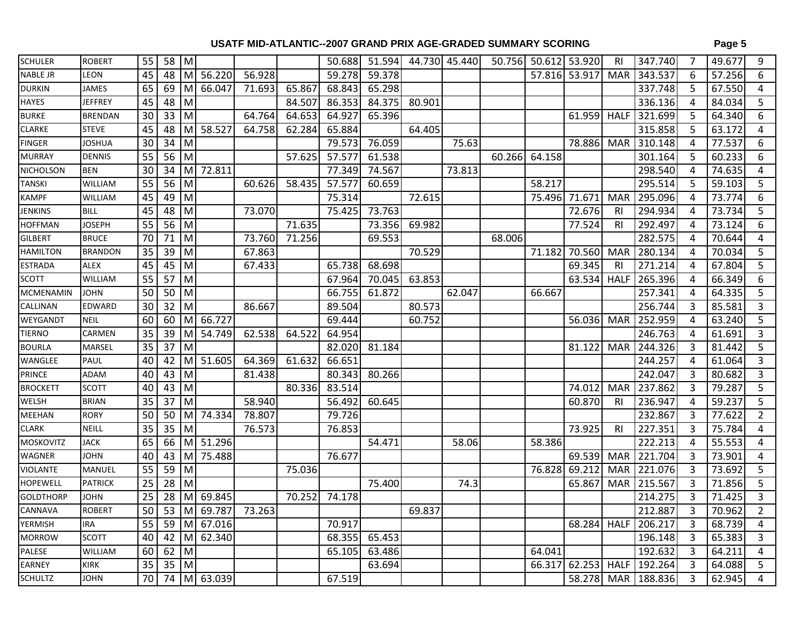| <b>SCHULER</b>   | <b>ROBERT</b>  | 55              | 58 M             |              |             |        |        | 50.688 | 51.594 |        | 44.730 45.440 |        | 50.756 50.612 53.920 |        | R <sub>l</sub> | 347.740            | $\overline{7}$ | 49.677 | 9              |
|------------------|----------------|-----------------|------------------|--------------|-------------|--------|--------|--------|--------|--------|---------------|--------|----------------------|--------|----------------|--------------------|----------------|--------|----------------|
| <b>NABLE JR</b>  | LEON           | 45              | $\overline{48}$  |              | M 56.220    | 56.928 |        | 59.278 | 59.378 |        |               |        | 57.816 53.917        |        | <b>MAR</b>     | 343.537            | 6              | 57.256 | 6              |
| <b>DURKIN</b>    | <b>JAMES</b>   | 65              | 69               | $\mathsf{M}$ | 66.047      | 71.693 | 65.867 | 68.843 | 65.298 |        |               |        |                      |        |                | 337.748            | 5              | 67.550 | 4              |
| HAYES            | <b>JEFFREY</b> | 45              | 48               | M            |             |        | 84.507 | 86.353 | 84.375 | 80.901 |               |        |                      |        |                | 336.136            | 4              | 84.034 | 5              |
| <b>BURKE</b>     | <b>BRENDAN</b> | 30              | 33               | M            |             | 64.764 | 64.653 | 64.927 | 65.396 |        |               |        |                      | 61.959 | <b>HALF</b>    | 321.699            | 5              | 64.340 | 6              |
| <b>CLARKE</b>    | <b>STEVE</b>   | 45              | 48               | M            | 58.527      | 64.758 | 62.284 | 65.884 |        | 64.405 |               |        |                      |        |                | 315.858            | 5              | 63.172 | 4              |
| <b>FINGER</b>    | <b>JOSHUA</b>  | 30              | 34               | M            |             |        |        | 79.573 | 76.059 |        | 75.63         |        |                      | 78.886 | <b>MAR</b>     | 310.148            | 4              | 77.537 | 6              |
| <b>MURRAY</b>    | <b>DENNIS</b>  | $\overline{55}$ | 56               | M            |             |        | 57.625 | 57.577 | 61.538 |        |               | 60.266 | 64.158               |        |                | 301.164            | 5              | 60.233 | 6              |
| NICHOLSON        | <b>BEN</b>     | 30              | $34 \mid M$      |              | 72.811      |        |        | 77.349 | 74.567 |        | 73.813        |        |                      |        |                | 298.540            | 4              | 74.635 | $\overline{4}$ |
| <b>TANSKI</b>    | WILLIAM        | 55              | 56               | M            |             | 60.626 | 58.435 | 57.577 | 60.659 |        |               |        | 58.217               |        |                | 295.514            | 5              | 59.103 | 5              |
| <b>KAMPF</b>     | WILLIAM        | 45              | 49 M             |              |             |        |        | 75.314 |        | 72.615 |               |        | 75.496 71.671        |        | <b>MAR</b>     | 295.096            | 4              | 73.774 | 6              |
| <b>JENKINS</b>   | <b>BILL</b>    | 45              | 48               | M            |             | 73.070 |        | 75.425 | 73.763 |        |               |        |                      | 72.676 | R <sub>l</sub> | 294.934            | 4              | 73.734 | 5              |
| <b>HOFFMAN</b>   | <b>JOSEPH</b>  | 55              | 56 M             |              |             |        | 71.635 |        | 73.356 | 69.982 |               |        |                      | 77.524 | R <sub>l</sub> | 292.497            | 4              | 73.124 | 6              |
| <b>GILBERT</b>   | <b>BRUCE</b>   | 70              | $71$ M           |              |             | 73.760 | 71.256 |        | 69.553 |        |               | 68.006 |                      |        |                | 282.575            | 4              | 70.644 | 4              |
| <b>HAMILTON</b>  | <b>BRANDON</b> | $\overline{35}$ | $39$ M           |              |             | 67.863 |        |        |        | 70.529 |               |        | 71.182               | 70.560 | <b>MAR</b>     | 280.134            | 4              | 70.034 | 5              |
| <b>ESTRADA</b>   | <b>ALEX</b>    | 45              | $45$ M           |              |             | 67.433 |        | 65.738 | 68.698 |        |               |        |                      | 69.345 | -RI            | 271.214            | 4              | 67.804 | $\overline{5}$ |
| <b>SCOTT</b>     | WILLIAM        | 55              | 57 M             |              |             |        |        | 67.964 | 70.045 | 63.853 |               |        |                      | 63.534 | <b>HALF</b>    | 265.396            | 4              | 66.349 | 6              |
| MCMENAMIN        | <b>JOHN</b>    | 50              | 50               | M            |             |        |        | 66.755 | 61.872 |        | 62.047        |        | 66.667               |        |                | 257.341            | 4              | 64.335 | 5              |
| CALLINAN         | EDWARD         | 30              | 32               | M            |             | 86.667 |        | 89.504 |        | 80.573 |               |        |                      |        |                | 256.744            | 3              | 85.581 | 3              |
| WEYGANDT         | <b>NEIL</b>    | 60              | 60               | M            | 66.727      |        |        | 69.444 |        | 60.752 |               |        |                      | 56.036 | <b>MAR</b>     | 252.959            | 4              | 63.240 | 5              |
| TIERNO           | CARMEN         | 35              | 39               | M            | 54.749      | 62.538 | 64.522 | 64.954 |        |        |               |        |                      |        |                | 246.763            | 4              | 61.691 | $\overline{3}$ |
| <b>BOURLA</b>    | MARSEL         | 35              | 37 M             |              |             |        |        | 82.020 | 81.184 |        |               |        |                      | 81.122 | <b>MAR</b>     | 244.326            | 3              | 81.442 | 5              |
| WANGLEE          | PAUL           | 40              | 42               | M            | 51.605      | 64.369 | 61.632 | 66.651 |        |        |               |        |                      |        |                | 244.257            | 4              | 61.064 | 3              |
| PRINCE           | ADAM           | 40              | 43               | $\mathsf{M}$ |             | 81.438 |        | 80.343 | 80.266 |        |               |        |                      |        |                | 242.047            | 3              | 80.682 | 3              |
| <b>BROCKETT</b>  | <b>SCOTT</b>   | 40              | 43 M             |              |             |        | 80.336 | 83.514 |        |        |               |        |                      | 74.012 | <b>MAR</b>     | 237.862            | 3              | 79.287 | 5              |
| WELSH            | <b>BRIAN</b>   | 35              | 37               | $\mathsf{M}$ |             | 58.940 |        | 56.492 | 60.645 |        |               |        |                      | 60.870 | R <sub>l</sub> | 236.947            | 4              | 59.237 | 5              |
| MEEHAN           | <b>RORY</b>    | 50              | $50 \mid M \mid$ |              | 74.334      | 78.807 |        | 79.726 |        |        |               |        |                      |        |                | 232.867            | 3              | 77.622 | $\overline{2}$ |
| <b>CLARK</b>     | <b>NEILL</b>   | $\overline{35}$ | $\overline{35}$  | $\mathsf{M}$ |             | 76.573 |        | 76.853 |        |        |               |        |                      | 73.925 | R <sub>l</sub> | 227.351            | 3              | 75.784 | 4              |
| <b>MOSKOVITZ</b> | <b>JACK</b>    | 65              | 66               | MI           | 51.296      |        |        |        | 54.471 |        | 58.06         |        | 58.386               |        |                | 222.213            | 4              | 55.553 | $\overline{4}$ |
| <b>WAGNER</b>    | JOHN           | 40              | 43               | $\mathsf{M}$ | 75.488      |        |        | 76.677 |        |        |               |        |                      | 69.539 | <b>MAR</b>     | 221.704            | 3              | 73.901 | 4              |
| <b>VIOLANTE</b>  | MANUEL         | $\overline{55}$ | 59               | M            |             |        | 75.036 |        |        |        |               |        | 76.828               | 69.212 | <b>MAR</b>     | 221.076            | 3              | 73.692 | 5              |
| <b>HOPEWELL</b>  | <b>PATRICK</b> | $\overline{25}$ | 28               | M            |             |        |        |        | 75.400 |        | 74.3          |        |                      | 65.867 | <b>MAR</b>     | 215.567            | 3              | 71.856 | 5              |
| <b>GOLDTHORP</b> | <b>JOHN</b>    | 25              | 28               | M            | 69.845      |        | 70.252 | 74.178 |        |        |               |        |                      |        |                | 214.275            | 3              | 71.425 | 3              |
| CANNAVA          | <b>ROBERT</b>  | 50              | 53               | M            | 69.787      | 73.263 |        |        |        | 69.837 |               |        |                      |        |                | 212.887            | 3              | 70.962 | $\overline{2}$ |
| <b>YERMISH</b>   | <b>IRA</b>     | 55              | 59               | M            | 67.016      |        |        | 70.917 |        |        |               |        |                      | 68.284 | <b>HALF</b>    | 206.217            | 3              | 68.739 | $\overline{4}$ |
| <b>MORROW</b>    | <b>SCOTT</b>   | 40              | 42               | M            | 62.340      |        |        | 68.355 | 65.453 |        |               |        |                      |        |                | 196.148            | 3              | 65.383 | 3              |
| PALESE           | WILLIAM        | 60              | 62 M             |              |             |        |        | 65.105 | 63.486 |        |               |        | 64.041               |        |                | 192.632            | 3              | 64.211 | $\overline{4}$ |
| <b>EARNEY</b>    | <b>KIRK</b>    | 35              | 35               | $\mathsf{M}$ |             |        |        |        | 63.694 |        |               |        | 66.317               | 62.253 | <b>HALF</b>    | 192.264            | 3              | 64.088 | 5              |
| <b>SCHULTZ</b>   | <b>JOHN</b>    | 70              |                  |              | 74 M 63.039 |        |        | 67.519 |        |        |               |        |                      |        |                | 58.278 MAR 188.836 | 3              | 62.945 | 4              |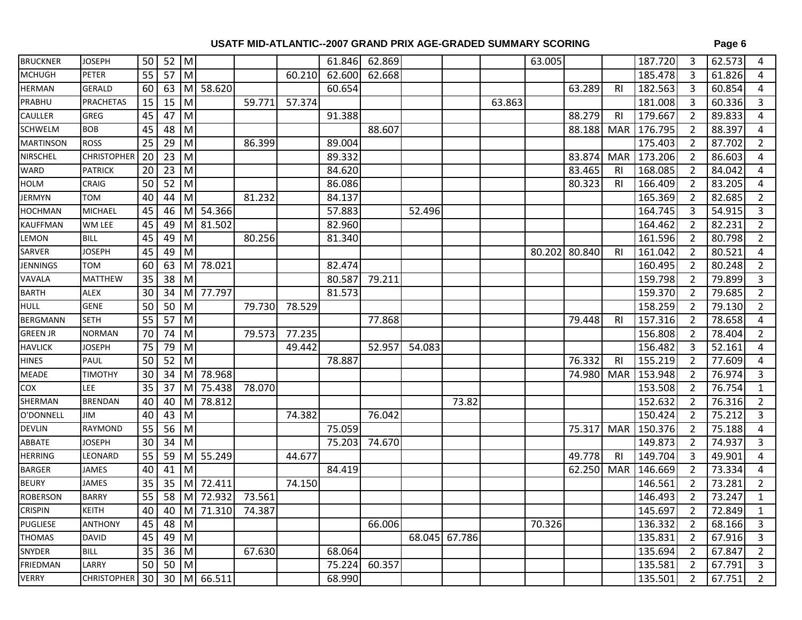| <b>BRUCKNER</b>  | <b>JOSEPH</b>      | 50 <sub>1</sub> | 52              | M |             |                    |        | 61.846 | 62.869 |        |               |        | 63.005 |               |                | 187.720 | 3              | 62.573 | 4              |
|------------------|--------------------|-----------------|-----------------|---|-------------|--------------------|--------|--------|--------|--------|---------------|--------|--------|---------------|----------------|---------|----------------|--------|----------------|
| <b>MCHUGH</b>    | PETER              | 55              | $57$ M          |   |             |                    | 60.210 | 62.600 | 62.668 |        |               |        |        |               |                | 185.478 | $\overline{3}$ | 61.826 | 4              |
| <b>HERMAN</b>    | GERALD             | 60              | 63              | M | 58.620      |                    |        | 60.654 |        |        |               |        |        | 63.289        | R <sub>l</sub> | 182.563 | $\overline{3}$ | 60.854 | 4              |
| PRABHU           | <b>PRACHETAS</b>   | 15              | 15              | M |             | 59.771             | 57.374 |        |        |        |               | 63.863 |        |               |                | 181.008 | 3              | 60.336 | 3              |
| CAULLER          | <b>GREG</b>        | 45              | 47              | M |             |                    |        | 91.388 |        |        |               |        |        | 88.279        | R <sub>l</sub> | 179.667 | $\overline{2}$ | 89.833 | 4              |
| <b>SCHWELM</b>   | <b>BOB</b>         | 45              | 48              | M |             |                    |        |        | 88.607 |        |               |        |        | 88.188        | <b>MAR</b>     | 176.795 | $\overline{2}$ | 88.397 | 4              |
| <b>MARTINSON</b> | <b>ROSS</b>        | 25              | 29              | M |             | 86.399             |        | 89.004 |        |        |               |        |        |               |                | 175.403 | $\overline{2}$ | 87.702 | $\overline{2}$ |
| NIRSCHEL         | <b>CHRISTOPHER</b> | 20              | $\overline{23}$ | M |             |                    |        | 89.332 |        |        |               |        |        | 83.874        | <b>MAR</b>     | 173.206 | $\overline{2}$ | 86.603 | 4              |
| WARD             | <b>PATRICK</b>     | 20              | 23              | M |             |                    |        | 84.620 |        |        |               |        |        | 83.465        | <b>RI</b>      | 168.085 | $\overline{2}$ | 84.042 | 4              |
| <b>HOLM</b>      | CRAIG              | 50              | 52              | M |             |                    |        | 86.086 |        |        |               |        |        | 80.323        | <b>RI</b>      | 166.409 | $\overline{2}$ | 83.205 | 4              |
| JERMYN           | TOM                | 40              | 44              | M |             | 81.232             |        | 84.137 |        |        |               |        |        |               |                | 165.369 | 2              | 82.685 | $\overline{2}$ |
| <b>HOCHMAN</b>   | <b>MICHAEL</b>     | 45              | 46              | M | 54.366      |                    |        | 57.883 |        | 52.496 |               |        |        |               |                | 164.745 | 3              | 54.915 | 3              |
| <b>KAUFFMAN</b>  | WM LEE             | 45              | 49              | M | 81.502      |                    |        | 82.960 |        |        |               |        |        |               |                | 164.462 | $\overline{2}$ | 82.231 | $\overline{2}$ |
| LEMON            | <b>BILL</b>        | 45              | 49              | M |             | 80.256             |        | 81.340 |        |        |               |        |        |               |                | 161.596 | $\overline{2}$ | 80.798 | $\overline{2}$ |
| SARVER           | <b>JOSEPH</b>      | 45              | 49              | M |             |                    |        |        |        |        |               |        |        | 80.202 80.840 | <b>RI</b>      | 161.042 | 2              | 80.521 | 4              |
| <b>JENNINGS</b>  | <b>TOM</b>         | 60              | 63              | M | 78.021      |                    |        | 82.474 |        |        |               |        |        |               |                | 160.495 | $\overline{2}$ | 80.248 | $\overline{2}$ |
| VAVALA           | <b>MATTHEW</b>     | 35              | 38              | M |             |                    |        | 80.587 | 79.211 |        |               |        |        |               |                | 159.798 | $\overline{2}$ | 79.899 | 3              |
| <b>BARTH</b>     | ALEX               | 30              | 34              | M | 77.797      |                    |        | 81.573 |        |        |               |        |        |               |                | 159.370 | $\overline{2}$ | 79.685 | $\overline{2}$ |
| <b>HULL</b>      | <b>GENE</b>        | 50              | 50              | M |             | 79.730             | 78.529 |        |        |        |               |        |        |               |                | 158.259 | $\overline{2}$ | 79.130 | $\overline{2}$ |
| <b>BERGMANN</b>  | <b>SETH</b>        | 55              | 57              | M |             |                    |        |        | 77.868 |        |               |        |        | 79.448        | R <sub>l</sub> | 157.316 | $\overline{2}$ | 78.658 | 4              |
| <b>GREEN JR</b>  | <b>NORMAN</b>      | 70              | 74              | M |             | 79.573             | 77.235 |        |        |        |               |        |        |               |                | 156.808 | $\overline{2}$ | 78.404 | $\overline{2}$ |
| <b>HAVLICK</b>   | <b>JOSEPH</b>      | 75              | 79              | M |             |                    | 49.442 |        | 52.957 | 54.083 |               |        |        |               |                | 156.482 | 3              | 52.161 | 4              |
| <b>HINES</b>     | <b>PAUL</b>        | 50              | 52              | M |             |                    |        | 78.887 |        |        |               |        |        | 76.332        | <b>RI</b>      | 155.219 | $\overline{2}$ | 77.609 | 4              |
| <b>MEADE</b>     | <b>TIMOTHY</b>     | 30              | 34              | M | 78.968      |                    |        |        |        |        |               |        |        | 74.980        | <b>MAR</b>     | 153.948 | $\overline{2}$ | 76.974 | 3              |
| COX              | LEE                | 35              | 37              | M | 75.438      | 78.070             |        |        |        |        |               |        |        |               |                | 153.508 | $\overline{2}$ | 76.754 | $\mathbf{1}$   |
| SHERMAN          | <b>BRENDAN</b>     | 40              | 40              | M | 78.812      |                    |        |        |        |        | 73.82         |        |        |               |                | 152.632 | $\overline{2}$ | 76.316 | $\overline{2}$ |
| O'DONNELL        | ЛII                | 40              | 43              | M |             |                    | 74.382 |        | 76.042 |        |               |        |        |               |                | 150.424 | $\overline{2}$ | 75.212 | $\overline{3}$ |
| <b>DEVLIN</b>    | <b>RAYMOND</b>     | 55              | 56              | M |             |                    |        | 75.059 |        |        |               |        |        | 75.317        | <b>MAR</b>     | 150.376 | $\overline{2}$ | 75.188 | 4              |
| ABBATE           | <b>JOSEPH</b>      | 30              | 34              | M |             |                    |        | 75.203 | 74.670 |        |               |        |        |               |                | 149.873 | $\overline{2}$ | 74.937 | $\overline{3}$ |
| <b>HERRING</b>   | LEONARD            | 55              | 59              | M | 55.249      |                    | 44.677 |        |        |        |               |        |        | 49.778        | R <sub>l</sub> | 149.704 | 3              | 49.901 | 4              |
| <b>BARGER</b>    | <b>JAMES</b>       | 40              | 41              | M |             |                    |        | 84.419 |        |        |               |        |        | 62.250        | <b>MAR</b>     | 146.669 | $\overline{2}$ | 73.334 | 4              |
| <b>BEURY</b>     | <b>JAMES</b>       | 35              | 35              | M | 72.411      |                    | 74.150 |        |        |        |               |        |        |               |                | 146.561 | $\overline{2}$ | 73.281 | $\overline{2}$ |
| <b>ROBERSON</b>  | <b>BARRY</b>       | 55              | 58              |   | M 72.932    | 73.561             |        |        |        |        |               |        |        |               |                | 146.493 | $\overline{2}$ | 73.247 | $\mathbf{1}$   |
| <b>CRISPIN</b>   | KEITH              | 40              |                 |   |             | 40 M 71.310 74.387 |        |        |        |        |               |        |        |               |                | 145.697 | $\overline{2}$ | 72.849 | $\mathbf 1$    |
| <b>PUGLIESE</b>  | <b>ANTHONY</b>     | 45              | 48 M            |   |             |                    |        |        | 66.006 |        |               |        | 70.326 |               |                | 136.332 | $\overline{2}$ | 68.166 | 3              |
| <b>THOMAS</b>    | <b>DAVID</b>       | 45              | 49 M            |   |             |                    |        |        |        |        | 68.045 67.786 |        |        |               |                | 135.831 | 2              | 67.916 | 3              |
| SNYDER           | <b>BILL</b>        | 35              | 36 M            |   |             | 67.630             |        | 68.064 |        |        |               |        |        |               |                | 135.694 | -2             | 67.847 | $\overline{2}$ |
| FRIEDMAN         | LARRY              | 50 <sup>1</sup> | 50 M            |   |             |                    |        | 75.224 | 60.357 |        |               |        |        |               |                | 135.581 | 2              | 67.791 | 3              |
| <b>VERRY</b>     | CHRISTOPHER        | 30 <sup>1</sup> |                 |   | 30 M 66.511 |                    |        | 68.990 |        |        |               |        |        |               |                | 135.501 | 2              | 67.751 | $\overline{2}$ |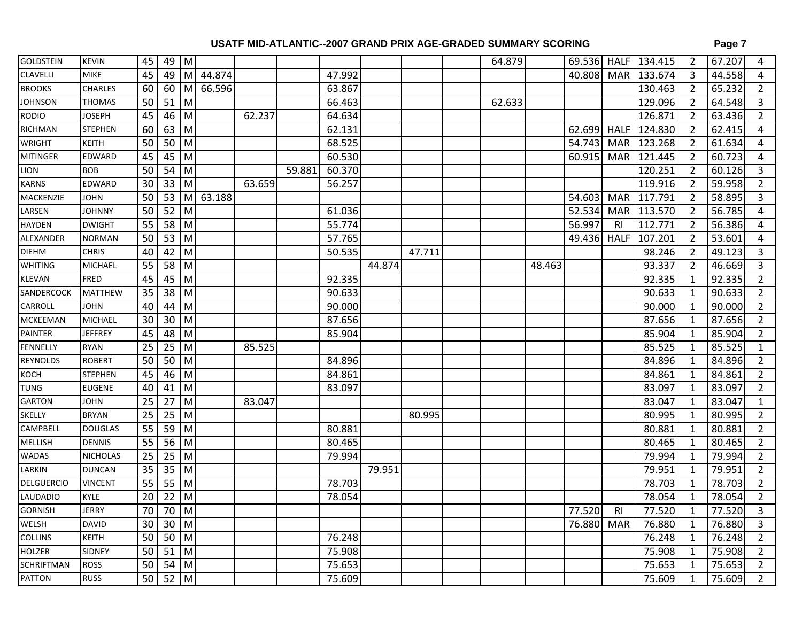| <b>GOLDSTEIN</b>  | <b>KEVIN</b>    | 45              | 49 M               |     |        |        |        |        |        |        | 64.879 |        |                     |                | 69.536 HALF 134.415 | $\overline{2}$ | 67.207 | 4              |
|-------------------|-----------------|-----------------|--------------------|-----|--------|--------|--------|--------|--------|--------|--------|--------|---------------------|----------------|---------------------|----------------|--------|----------------|
| <b>CLAVELLI</b>   | <b>MIKE</b>     | 45              | 49 M               |     | 44.874 |        |        | 47.992 |        |        |        |        | 40.808              |                | MAR 133.674         | $\overline{3}$ | 44.558 | 4              |
| <b>BROOKS</b>     | CHARLES         | 60              | $60$ M             |     | 66.596 |        |        | 63.867 |        |        |        |        |                     |                | 130.463             | $\overline{2}$ | 65.232 | $\overline{2}$ |
| <b>JOHNSON</b>    | <b>THOMAS</b>   | 50              | $51$ M             |     |        |        |        | 66.463 |        |        | 62.633 |        |                     |                | 129.096             | $\overline{2}$ | 64.548 | 3              |
| <b>RODIO</b>      | <b>JOSEPH</b>   | 45              | $\overline{46}$ M  |     |        | 62.237 |        | 64.634 |        |        |        |        |                     |                | 126.871             | $\overline{2}$ | 63.436 | $\overline{2}$ |
| RICHMAN           | <b>STEPHEN</b>  | 60              | $\overline{6}$ 3 M |     |        |        |        | 62.131 |        |        |        |        | 62.699              |                | HALF 124.830        | $\overline{2}$ | 62.415 | 4              |
| <b>WRIGHT</b>     | <b>KEITH</b>    | 50              | 50                 | M   |        |        |        | 68.525 |        |        |        |        | 54.743              | <b>MAR</b>     | $\sqrt{123.268}$    | $\overline{2}$ | 61.634 | 4              |
| <b>MITINGER</b>   | <b>EDWARD</b>   | $\overline{45}$ | $45$ M             |     |        |        |        | 60.530 |        |        |        |        | 60.915              |                | MAR 121.445         | $\overline{2}$ | 60.723 | 4              |
| <b>LION</b>       | <b>BOB</b>      | $\overline{50}$ | $54 \mid M$        |     |        |        | 59.881 | 60.370 |        |        |        |        |                     |                | 120.251             | $\overline{2}$ | 60.126 | 3              |
| <b>KARNS</b>      | EDWARD          | 30              | 33                 | l M |        | 63.659 |        | 56.257 |        |        |        |        |                     |                | 119.916             | $\overline{2}$ | 59.958 | $\overline{2}$ |
| MACKENZIE         | <b>JOHN</b>     | 50              | 53                 | M   | 63.188 |        |        |        |        |        |        |        | 54.603              | <b>MAR</b>     | 117.791             | $\overline{2}$ | 58.895 | $\overline{3}$ |
| LARSEN            | <b>JOHNNY</b>   | 50              | $52$ M             |     |        |        |        | 61.036 |        |        |        |        | 52.534              | <b>MAR</b>     | 113.570             | $\overline{2}$ | 56.785 | 4              |
| <b>HAYDEN</b>     | <b>DWIGHT</b>   | 55              | 58 M               |     |        |        |        | 55.774 |        |        |        |        | 56.997              | R <sub>l</sub> | 112.771             | $\overline{2}$ | 56.386 | 4              |
| ALEXANDER         | <b>NORMAN</b>   | 50              | $53$ M             |     |        |        |        | 57.765 |        |        |        |        | $\overline{49.436}$ | <b>HALF</b>    | 107.201             | $\overline{2}$ | 53.601 | $\overline{4}$ |
| <b>DIEHM</b>      | <b>CHRIS</b>    | 40              | 42 M               |     |        |        |        | 50.535 |        | 47.711 |        |        |                     |                | 98.246              | 2              | 49.123 | 3              |
| <b>WHITING</b>    | <b>MICHAEL</b>  | $\overline{55}$ | $58$ M             |     |        |        |        |        | 44.874 |        |        | 48.463 |                     |                | 93.337              | $\overline{2}$ | 46.669 | 3              |
| <b>KLEVAN</b>     | <b>FRED</b>     | 45              | $45$ M             |     |        |        |        | 92.335 |        |        |        |        |                     |                | 92.335              | $\mathbf{1}$   | 92.335 | $\overline{2}$ |
| SANDERCOCK        | MATTHEW         | 35              | 38 M               |     |        |        |        | 90.633 |        |        |        |        |                     |                | 90.633              | 1              | 90.633 | $\overline{2}$ |
| CARROLL           | <b>JOHN</b>     | 40              | 44                 | M   |        |        |        | 90.000 |        |        |        |        |                     |                | 90.000              | $\mathbf{1}$   | 90.000 | $\overline{2}$ |
| <b>MCKEEMAN</b>   | <b>MICHAEL</b>  | 30              | 30                 | l M |        |        |        | 87.656 |        |        |        |        |                     |                | 87.656              | $\mathbf{1}$   | 87.656 | $\overline{2}$ |
| <b>PAINTER</b>    | <b>JEFFREY</b>  | 45              | 48                 | M   |        |        |        | 85.904 |        |        |        |        |                     |                | 85.904              | 1              | 85.904 | 2              |
| FENNELLY          | <b>RYAN</b>     | $\overline{25}$ | $25$ M             |     |        | 85.525 |        |        |        |        |        |        |                     |                | 85.525              | 1              | 85.525 | $\mathbf{1}$   |
| <b>REYNOLDS</b>   | <b>ROBERT</b>   | 50              | 50                 | Iм  |        |        |        | 84.896 |        |        |        |        |                     |                | 84.896              | 1              | 84.896 | $\overline{2}$ |
| KOCH              | <b>STEPHEN</b>  | 45              | 46                 | M   |        |        |        | 84.861 |        |        |        |        |                     |                | 84.861              | 1              | 84.861 | $\overline{2}$ |
| <b>TUNG</b>       | <b>EUGENE</b>   | 40              | $41$ M             |     |        |        |        | 83.097 |        |        |        |        |                     |                | 83.097              | 1              | 83.097 | $\overline{2}$ |
| <b>GARTON</b>     | <b>JOHN</b>     | 25              | $27$ M             |     |        | 83.047 |        |        |        |        |        |        |                     |                | 83.047              | $\mathbf{1}$   | 83.047 | $\mathbf{1}$   |
| SKELLY            | <b>BRYAN</b>    | 25              | $25$ M             |     |        |        |        |        |        | 80.995 |        |        |                     |                | 80.995              | $\mathbf{1}$   | 80.995 | $\overline{2}$ |
| <b>CAMPBELL</b>   | <b>DOUGLAS</b>  | $\overline{55}$ | $59$ M             |     |        |        |        | 80.881 |        |        |        |        |                     |                | 80.881              | 1              | 80.881 | $\overline{2}$ |
| MELLISH           | <b>DENNIS</b>   | 55              | 56 M               |     |        |        |        | 80.465 |        |        |        |        |                     |                | 80.465              | 1              | 80.465 | $\overline{2}$ |
| <b>WADAS</b>      | <b>NICHOLAS</b> | 25              | $25$ M             |     |        |        |        | 79.994 |        |        |        |        |                     |                | 79.994              | $\mathbf{1}$   | 79.994 | $\overline{2}$ |
| LARKIN            | <b>DUNCAN</b>   | 35              | $35$ M             |     |        |        |        |        | 79.951 |        |        |        |                     |                | 79.951              | $\mathbf{1}$   | 79.951 | $\overline{2}$ |
| <b>DELGUERCIO</b> | <b>VINCENT</b>  | $\overline{55}$ | $55$ M             |     |        |        |        | 78.703 |        |        |        |        |                     |                | 78.703              | $\mathbf{1}$   | 78.703 | $\overline{2}$ |
| <b>LAUDADIO</b>   | KYLE            | 20              | $22$ M             |     |        |        |        | 78.054 |        |        |        |        |                     |                | 78.054              | 1              | 78.054 | $\overline{2}$ |
| <b>GORNISH</b>    | <b>JERRY</b>    | 70              | 70 M               |     |        |        |        |        |        |        |        |        | 77.520              | R <sub>l</sub> | 77.520              | 1              | 77.520 | 3              |
| WELSH             | <b>DAVID</b>    | 30              | $30$ M             |     |        |        |        |        |        |        |        |        | 76.880              | MAR            | 76.880              | 1              | 76.880 | 3              |
| COLLINS           | <b>KEITH</b>    | 50              | $50$ M             |     |        |        |        | 76.248 |        |        |        |        |                     |                | 76.248              | 1              | 76.248 | $\overline{2}$ |
| <b>HOLZER</b>     | SIDNEY          | 50              | $51$ M             |     |        |        |        | 75.908 |        |        |        |        |                     |                | 75.908              | 1              | 75.908 | $\overline{2}$ |
| <b>SCHRIFTMAN</b> | <b>ROSS</b>     | 50              | 54                 | M   |        |        |        | 75.653 |        |        |        |        |                     |                | 75.653              | 1              | 75.653 | $\overline{2}$ |
| <b>PATTON</b>     | <b>RUSS</b>     | 50              | $52$ M             |     |        |        |        | 75.609 |        |        |        |        |                     |                | 75.609              | $\mathbf{1}$   | 75.609 | $\overline{2}$ |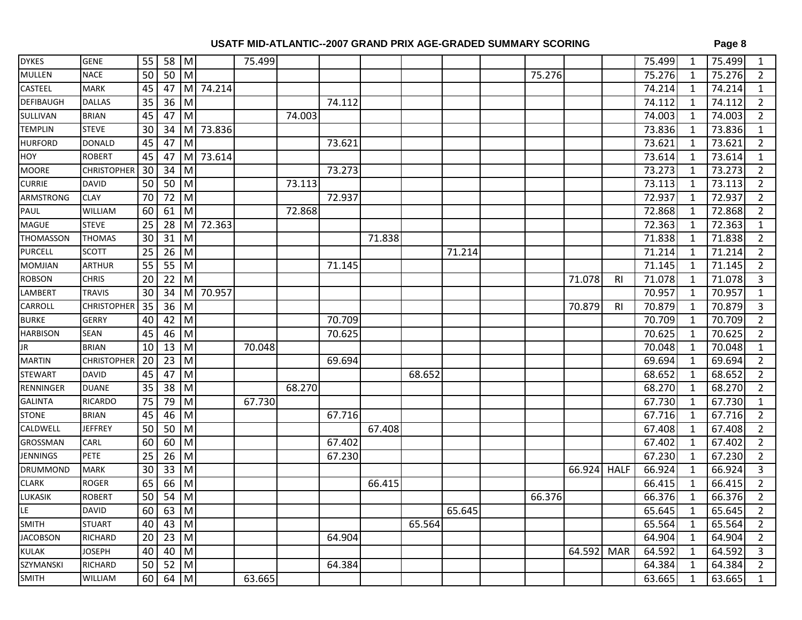| <b>DYKES</b>     | <b>GENE</b>        | 55              | 58 M            |                |          | 75.499 |        |        |        |        |        |        |        |                | 75.499 | 1            | 75.499 | 1              |
|------------------|--------------------|-----------------|-----------------|----------------|----------|--------|--------|--------|--------|--------|--------|--------|--------|----------------|--------|--------------|--------|----------------|
| <b>MULLEN</b>    | <b>NACE</b>        | $\overline{50}$ | $50$ M          |                |          |        |        |        |        |        |        | 75.276 |        |                | 75.276 | 1            | 75.276 | 2              |
| CASTEEL          | <b>MARK</b>        | $\overline{45}$ | 47              |                | M 74.214 |        |        |        |        |        |        |        |        |                | 74.214 | $\mathbf{1}$ | 74.214 | $\mathbf{1}$   |
| <b>DEFIBAUGH</b> | <b>DALLAS</b>      | $\overline{35}$ | 36              | M              |          |        |        | 74.112 |        |        |        |        |        |                | 74.112 | 1            | 74.112 | $\overline{2}$ |
| SULLIVAN         | <b>BRIAN</b>       | $\overline{45}$ | 47              | M              |          |        | 74.003 |        |        |        |        |        |        |                | 74.003 | $\mathbf{1}$ | 74.003 | $\overline{2}$ |
| <b>TEMPLIN</b>   | <b>STEVE</b>       | 30              | 34              | M              | 73.836   |        |        |        |        |        |        |        |        |                | 73.836 | $\mathbf{1}$ | 73.836 | $\mathbf{1}$   |
| <b>HURFORD</b>   | <b>DONALD</b>      | 45              | 47              | M              |          |        |        | 73.621 |        |        |        |        |        |                | 73.621 | $\mathbf{1}$ | 73.621 | $\overline{2}$ |
| HOY              | <b>ROBERT</b>      | 45              | 47              | M              | 73.614   |        |        |        |        |        |        |        |        |                | 73.614 | 1            | 73.614 | $\mathbf{1}$   |
| <b>MOORE</b>     | <b>CHRISTOPHER</b> | 30              | 34              | M              |          |        |        | 73.273 |        |        |        |        |        |                | 73.273 | $\mathbf{1}$ | 73.273 | $\overline{2}$ |
| <b>CURRIE</b>    | <b>DAVID</b>       | 50              | 50              | M              |          |        | 73.113 |        |        |        |        |        |        |                | 73.113 | $\mathbf{1}$ | 73.113 | $\overline{2}$ |
| ARMSTRONG        | <b>CLAY</b>        | 70              | 72              | M              |          |        |        | 72.937 |        |        |        |        |        |                | 72.937 | $\mathbf{1}$ | 72.937 | $\overline{2}$ |
| PAUL             | WILLIAM            | 60              | 61              | M              |          |        | 72.868 |        |        |        |        |        |        |                | 72.868 | 1            | 72.868 | $\overline{2}$ |
| <b>MAGUE</b>     | <b>STEVE</b>       | $\overline{25}$ | 28              | M              | 72.363   |        |        |        |        |        |        |        |        |                | 72.363 | $\mathbf 1$  | 72.363 | $\mathbf{1}$   |
| <b>THOMASSON</b> | <b>THOMAS</b>      | 30              | 31              | M              |          |        |        |        | 71.838 |        |        |        |        |                | 71.838 | 1            | 71.838 | $\overline{2}$ |
| <b>PURCELL</b>   | <b>SCOTT</b>       | $\overline{25}$ | $\overline{26}$ | $\overline{M}$ |          |        |        |        |        |        | 71.214 |        |        |                | 71.214 | $\mathbf{1}$ | 71.214 | $\overline{2}$ |
| <b>MOMJIAN</b>   | <b>ARTHUR</b>      | $\overline{55}$ | 55              | M              |          |        |        | 71.145 |        |        |        |        |        |                | 71.145 | $\mathbf{1}$ | 71.145 | $\overline{2}$ |
| <b>ROBSON</b>    | <b>CHRIS</b>       | 20              | 22              | M              |          |        |        |        |        |        |        |        | 71.078 | R <sub>l</sub> | 71.078 | $\mathbf{1}$ | 71.078 | $\overline{3}$ |
| LAMBERT          | <b>TRAVIS</b>      | 30              | 34              | M              | 70.957   |        |        |        |        |        |        |        |        |                | 70.957 | $\mathbf{1}$ | 70.957 | $\mathbf{1}$   |
| CARROLL          | <b>CHRISTOPHER</b> | 35              | 36              | M              |          |        |        |        |        |        |        |        | 70.879 | R <sub>l</sub> | 70.879 | $\mathbf{1}$ | 70.879 | $\overline{3}$ |
| <b>BURKE</b>     | <b>GERRY</b>       | 40              | 42              | M              |          |        |        | 70.709 |        |        |        |        |        |                | 70.709 | 1            | 70.709 | $\overline{2}$ |
| <b>HARBISON</b>  | SEAN               | 45              | 46              | M              |          |        |        | 70.625 |        |        |        |        |        |                | 70.625 | 1            | 70.625 | $\overline{2}$ |
| JR               | <b>BRIAN</b>       | 10              | 13              | M              |          | 70.048 |        |        |        |        |        |        |        |                | 70.048 | 1            | 70.048 | $\mathbf{1}$   |
| <b>MARTIN</b>    | <b>CHRISTOPHER</b> | 20              | 23              | M              |          |        |        | 69.694 |        |        |        |        |        |                | 69.694 | 1            | 69.694 | $\overline{2}$ |
| <b>STEWART</b>   | <b>DAVID</b>       | 45              | 47              | M              |          |        |        |        |        | 68.652 |        |        |        |                | 68.652 | 1            | 68.652 | $\overline{2}$ |
| RENNINGER        | <b>DUANE</b>       | 35              | 38              | M              |          |        | 68.270 |        |        |        |        |        |        |                | 68.270 | $\mathbf{1}$ | 68.270 | $\overline{2}$ |
| <b>GALINTA</b>   | <b>RICARDO</b>     | 75              | 79              | M              |          | 67.730 |        |        |        |        |        |        |        |                | 67.730 | $\mathbf{1}$ | 67.730 | $\mathbf{1}$   |
| <b>STONE</b>     | <b>BRIAN</b>       | 45              | 46              | M              |          |        |        | 67.716 |        |        |        |        |        |                | 67.716 | $\mathbf{1}$ | 67.716 | $\overline{2}$ |
| CALDWELL         | <b>JEFFREY</b>     | $\overline{50}$ | 50              | $\overline{M}$ |          |        |        |        | 67.408 |        |        |        |        |                | 67.408 | $\mathbf{1}$ | 67.408 | $\overline{2}$ |
| <b>GROSSMAN</b>  | CARL               | 60              | 60              | M              |          |        |        | 67.402 |        |        |        |        |        |                | 67.402 | $\mathbf{1}$ | 67.402 | $\overline{2}$ |
| <b>JENNINGS</b>  | PETE               | 25              | 26              | M              |          |        |        | 67.230 |        |        |        |        |        |                | 67.230 | $\mathbf{1}$ | 67.230 | $\overline{2}$ |
| <b>DRUMMOND</b>  | <b>MARK</b>        | 30              | 33              | M              |          |        |        |        |        |        |        |        | 66.924 | <b>HALF</b>    | 66.924 | 1            | 66.924 | 3              |
| <b>CLARK</b>     | <b>ROGER</b>       | 65              | 66              | M              |          |        |        |        | 66.415 |        |        |        |        |                | 66.415 | $\mathbf{1}$ | 66.415 | $\overline{2}$ |
| LUKASIK          | <b>ROBERT</b>      | 50              | 54              | M              |          |        |        |        |        |        |        | 66.376 |        |                | 66.376 | 1            | 66.376 | $\overline{2}$ |
| LE               | <b>DAVID</b>       | 60              | 63              | M              |          |        |        |        |        |        | 65.645 |        |        |                | 65.645 | 1            | 65.645 | $\overline{2}$ |
| <b>SMITH</b>     | <b>STUART</b>      | 40              | 43              | M              |          |        |        |        |        | 65.564 |        |        |        |                | 65.564 | 1            | 65.564 | $\overline{2}$ |
| <b>JACOBSON</b>  | RICHARD            | 20              | 23              | M              |          |        |        | 64.904 |        |        |        |        |        |                | 64.904 | 1            | 64.904 | $\overline{2}$ |
| KULAK            | JOSEPH             | 40              | 40              | M              |          |        |        |        |        |        |        |        | 64.592 | <b>MAR</b>     | 64.592 | 1            | 64.592 | 3              |
| SZYMANSKI        | RICHARD            | 50              | 52              | M              |          |        |        | 64.384 |        |        |        |        |        |                | 64.384 | $\mathbf{1}$ | 64.384 | $\overline{2}$ |
| <b>SMITH</b>     | WILLIAM            | 60              | 64              | M              |          | 63.665 |        |        |        |        |        |        |        |                | 63.665 | $\mathbf{1}$ | 63.665 | $\mathbf{1}$   |